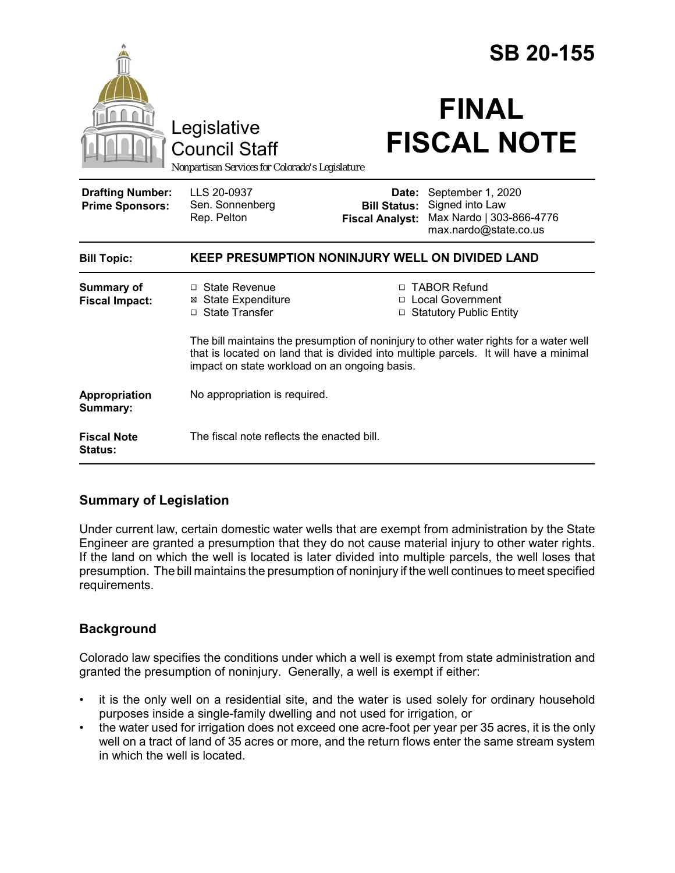|                                                                                        |                                                                                                                                                                                                                                  |                                                        | <b>SB 20-155</b>                                                                          |  |
|----------------------------------------------------------------------------------------|----------------------------------------------------------------------------------------------------------------------------------------------------------------------------------------------------------------------------------|--------------------------------------------------------|-------------------------------------------------------------------------------------------|--|
| Legislative<br><b>Council Staff</b><br>Nonpartisan Services for Colorado's Legislature |                                                                                                                                                                                                                                  | <b>FINAL</b><br><b>FISCAL NOTE</b>                     |                                                                                           |  |
| <b>Drafting Number:</b><br><b>Prime Sponsors:</b>                                      | LLS 20-0937<br>Sen. Sonnenberg<br>Rep. Pelton                                                                                                                                                                                    | Date:<br><b>Bill Status:</b><br><b>Fiscal Analyst:</b> | September 1, 2020<br>Signed into Law<br>Max Nardo   303-866-4776<br>max.nardo@state.co.us |  |
| <b>Bill Topic:</b>                                                                     | <b>KEEP PRESUMPTION NONINJURY WELL ON DIVIDED LAND</b>                                                                                                                                                                           |                                                        |                                                                                           |  |
| <b>Summary of</b><br><b>Fiscal Impact:</b>                                             | □ State Revenue<br><b>⊠</b> State Expenditure<br>□ State Transfer                                                                                                                                                                |                                                        | □ TABOR Refund<br>□ Local Government<br><b>Statutory Public Entity</b>                    |  |
|                                                                                        | The bill maintains the presumption of noninjury to other water rights for a water well<br>that is located on land that is divided into multiple parcels. It will have a minimal<br>impact on state workload on an ongoing basis. |                                                        |                                                                                           |  |
| Appropriation<br>Summary:                                                              | No appropriation is required.                                                                                                                                                                                                    |                                                        |                                                                                           |  |
| <b>Fiscal Note</b><br>Status:                                                          | The fiscal note reflects the enacted bill.                                                                                                                                                                                       |                                                        |                                                                                           |  |

# **Summary of Legislation**

Under current law, certain domestic water wells that are exempt from administration by the State Engineer are granted a presumption that they do not cause material injury to other water rights. If the land on which the well is located is later divided into multiple parcels, the well loses that presumption. The bill maintains the presumption of noninjury if the well continues to meet specified requirements.

# **Background**

Colorado law specifies the conditions under which a well is exempt from state administration and granted the presumption of noninjury. Generally, a well is exempt if either:

- it is the only well on a residential site, and the water is used solely for ordinary household purposes inside a single-family dwelling and not used for irrigation, or
- the water used for irrigation does not exceed one acre-foot per year per 35 acres, it is the only well on a tract of land of 35 acres or more, and the return flows enter the same stream system in which the well is located.